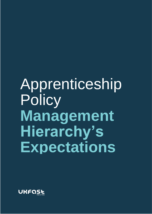# Apprenticeship **Policy Management Hierarchy's Expectations**

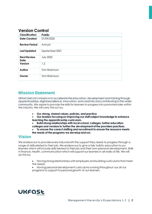## **Version Control**

| <b>Classification</b>      | <b>Public</b>    |
|----------------------------|------------------|
| <b>Date Created</b>        | 07/09/2020       |
| <b>Review Period</b>       | Annual           |
| <b>Last Updated</b>        | September 2021   |
| <b>Next Review</b><br>Date | <b>July 2022</b> |
| Version                    | 1.2              |
| Author                     | Tom Robinson     |
| Owner                      | Tom Robinson     |

## **Mission Statement**

UKFast.Net Ltd's mission is to accelerate the education, development and training through apprenticeships, digital excellence, innovation, and creativity and contributing to the wider community. We aspire to provide the skills for learners to progress into promoted roles within the industry. We will carry this out by.

- **Our strong, shared values, policies, and practice**
- **Our leaders focusing on improving our staff subject knowledge to enhance teaching the apprenticeship curriculum.**
- **Build strong relationships with local school, colleges, further education colleges and vendors to further the development of the providers practises.** • **To ensure the correct staffing and recruitment to ensure the resource meets the needs of the programs we develop and run.**

#### **Vision**

We endeavour to provide every induvial with the support they needs to progress through a range of skills related to their job. We endeavour to give a fully holistic education to our learners which will include skills related to their job and their own personal development. Skills in finance, health, communication which will support our learners in all walks of life. We will do this by;

- Having strong relationships with employers and building curriculums that meet the needs.
- Having personal development curriculums running throughout our all our programs to support to personal growth of our learners.